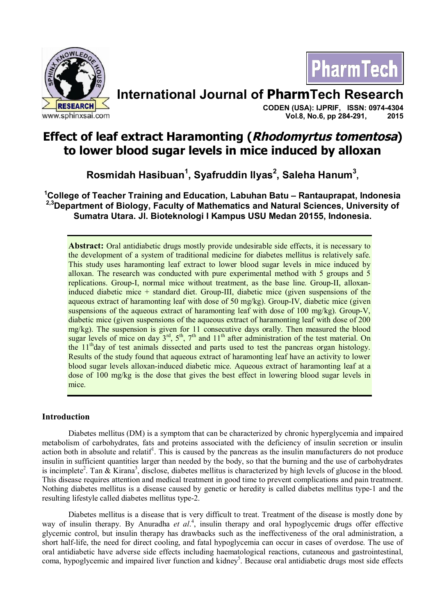



# **International Journal of PharmTech Research**

**CODEN (USA): IJPRIF, ISSN: 0974-4304 Vol.8, No.6, pp 284-291, 2015**

## **Effect of leaf extract Haramonting (Rhodomyrtus tomentosa) to lower blood sugar levels in mice induced by alloxan**

**Rosmidah Hasibuan<sup>1</sup> , Syafruddin Ilyas<sup>2</sup> , Saleha Hanum<sup>3</sup> ,**

**<sup>1</sup>College of Teacher Training and Education, Labuhan Batu – Rantauprapat, Indonesia 2,3Department of Biology, Faculty of Mathematics and Natural Sciences, University of Sumatra Utara. Jl. Bioteknologi I Kampus USU Medan 20155, Indonesia.**

**Abstract:** Oral antidiabetic drugs mostly provide undesirable side effects, it is necessary to the development of a system of traditional medicine for diabetes mellitus is relatively safe. This study uses haramonting leaf extract to lower blood sugar levels in mice induced by alloxan. The research was conducted with pure experimental method with 5 groups and 5 replications. Group-I, normal mice without treatment, as the base line. Group-II, alloxaninduced diabetic mice + standard diet. Group-III, diabetic mice (given suspensions of the aqueous extract of haramonting leaf with dose of 50 mg/kg). Group-IV, diabetic mice (given suspensions of the aqueous extract of haramonting leaf with dose of 100 mg/kg). Group-V, diabetic mice (given suspensions of the aqueous extract of haramonting leaf with dose of 200 mg/kg). The suspension is given for 11 consecutive days orally. Then measured the blood sugar levels of mice on day  $3^{rd}$ ,  $5^{th}$ ,  $7^{th}$  and  $11^{th}$  after administration of the test material. On the  $11<sup>th</sup>$ day of test animals dissected and parts used to test the pancreas organ histology. Results of the study found that aqueous extract of haramonting leaf have an activity to lower blood sugar levels alloxan-induced diabetic mice. Aqueous extract of haramonting leaf at a dose of 100 mg/kg is the dose that gives the best effect in lowering blood sugar levels in mice.

## **Introduction**

Diabetes mellitus (DM) is a symptom that can be characterized by chronic hyperglycemia and impaired metabolism of carbohydrates, fats and proteins associated with the deficiency of insulin secretion or insulin action both in absolute and relatif<sup>1</sup>. This is caused by the pancreas as the insulin manufacturers do not produce insulin in sufficient quantities larger than needed by the body, so that the burning and the use of carbohydrates is incimplete<sup>2</sup>. Tan  $\&$  Kirana<sup>3</sup>, disclose, diabetes mellitus is characterized by high levels of glucose in the blood. This disease requires attention and medical treatment in good time to prevent complications and pain treatment. Nothing diabetes mellitus is a disease caused by genetic or heredity is called diabetes mellitus type-1 and the resulting lifestyle called diabetes mellitus type-2.

Diabetes mellitus is a disease that is very difficult to treat. Treatment of the disease is mostly done by way of insulin therapy. By Anuradha et al.<sup>4</sup>, insulin therapy and oral hypoglycemic drugs offer effective glycemic control, but insulin therapy has drawbacks such as the ineffectiveness of the oral administration, a short half-life, the need for direct cooling, and fatal hypoglycemia can occur in cases of overdose. The use of oral antidiabetic have adverse side effects including haematological reactions, cutaneous and gastrointestinal, coma, hypoglycemic and impaired liver function and kidney<sup>5</sup>. Because oral antidiabetic drugs most side effects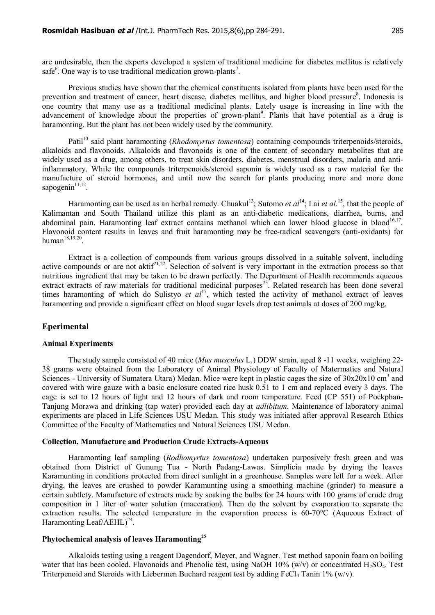are undesirable, then the experts developed a system of traditional medicine for diabetes mellitus is relatively safe $<sup>6</sup>$ . One way is to use traditional medication grown-plants<sup>7</sup>.</sup>

Previous studies have shown that the chemical constituents isolated from plants have been used for the prevention and treatment of cancer, heart disease, diabetes mellitus, and higher blood pressure<sup>8</sup>. Indonesia is one country that many use as a traditional medicinal plants. Lately usage is increasing in line with the advancement of knowledge about the properties of grown-plant<sup>9</sup>. Plants that have potential as a drug is haramonting. But the plant has not been widely used by the community.

Patil<sup>10</sup> said plant haramonting (*Rhodomyrtus tomentosa*) containing compounds triterpenoids/steroids, alkaloids and flavonoids. Alkaloids and flavonoids is one of the content of secondary metabolites that are widely used as a drug, among others, to treat skin disorders, diabetes, menstrual disorders, malaria and antiinflammatory. While the compounds triterpenoids/steroid saponin is widely used as a raw material for the manufacture of steroid hormones, and until now the search for plants producing more and more done sapogenin $11,12$ .

Haramonting can be used as an herbal remedy. Chuakul<sup>13</sup>; Sutomo *et al*<sup>14</sup>; Lai *et al*.<sup>15</sup>, that the people of Kalimantan and South Thailand utilize this plant as an anti-diabetic medications, diarrhea, burns, and abdominal pain. Haramonting leaf extract contains methanol which can lower blood glucose in blood<sup>16,17</sup>. Flavonoid content results in leaves and fruit haramonting may be free-radical scavengers (anti-oxidants) for human $^{18,19,20}$ .

Extract is a collection of compounds from various groups dissolved in a suitable solvent, including active compounds or are not aktif<sup>21,22</sup>. Selection of solvent is very important in the extraction process so that nutritious ingredient that may be taken to be drawn perfectly. The Department of Health recommends aqueous extract extracts of raw materials for traditional medicinal purposes<sup>23</sup>. Related research has been done several times haramonting of which do Sulistyo et al<sup>17</sup>, which tested the activity of methanol extract of leaves haramonting and provide a significant effect on blood sugar levels drop test animals at doses of 200 mg/kg.

### **Eperimental**

#### **Animal Experiments**

The study sample consisted of 40 mice (*Mus musculus* L.) DDW strain, aged 8 -11 weeks, weighing 22- 38 grams were obtained from the Laboratory of Animal Physiology of Faculty of Matermatics and Natural Sciences - University of Sumatera Utara) Medan. Mice were kept in plastic cages the size of 30x20x10 cm<sup>3</sup> and covered with wire gauze with a basic enclosure coated rice husk 0.51 to 1 cm and replaced every 3 days. The cage is set to 12 hours of light and 12 hours of dark and room temperature. Feed (CP 551) of Pockphan-Tanjung Morawa and drinking (tap water) provided each day at *adlibitum*. Maintenance of laboratory animal experiments are placed in Life Sciences USU Medan. This study was initiated after approval Research Ethics Committee of the Faculty of Mathematics and Natural Sciences USU Medan.

#### **Collection, Manufacture and Production Crude Extracts-Aqueous**

Haramonting leaf sampling (*Rodhomyrtus tomentosa*) undertaken purposively fresh green and was obtained from District of Gunung Tua - North Padang-Lawas. Simplicia made by drying the leaves Karamunting in conditions protected from direct sunlight in a greenhouse. Samples were left for a week. After drying, the leaves are crushed to powder Karamunting using a smoothing machine (grinder) to measure a certain subtlety. Manufacture of extracts made by soaking the bulbs for 24 hours with 100 grams of crude drug composition in 1 liter of water solution (maceration). Then do the solvent by evaporation to separate the extraction results. The selected temperature in the evaporation process is 60-70°C (Aqueous Extract of Haramonting Leaf/AEHL $)^{24}$ .

#### **Phytochemical analysis of leaves Haramonting<sup>25</sup>**

Alkaloids testing using a reagent Dagendorf, Meyer, and Wagner. Test method saponin foam on boiling water that has been cooled. Flavonoids and Phenolic test, using NaOH  $10\%$  (w/v) or concentrated H<sub>2</sub>SO<sub>4</sub>. Test Triterpenoid and Steroids with Liebermen Buchard reagent test by adding FeCl<sub>3</sub> Tanin 1% (w/v).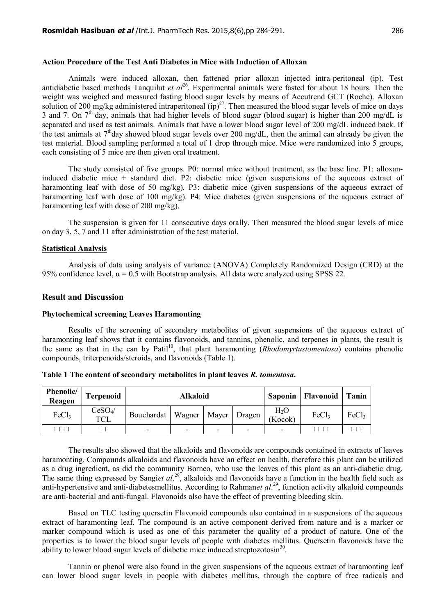## **Action Procedure of the Test Anti Diabetes in Mice with Induction of Alloxan**

Animals were induced alloxan, then fattened prior alloxan injected intra-peritoneal (ip). Test antidiabetic based methods Tanquilut *et al*<sup>26</sup>. Experimental animals were fasted for about 18 hours. Then the weight was weighed and measured fasting blood sugar levels by means of Accutrend GCT (Roche). Alloxan solution of 200 mg/kg administered intraperitoneal  $(ip)^{27}$ . Then measured the blood sugar levels of mice on days 3 and 7. On  $7<sup>th</sup>$  day, animals that had higher levels of blood sugar (blood sugar) is higher than 200 mg/dL is separated and used as test animals. Animals that have a lower blood sugar level of 200 mg/dL induced back. If the test animals at  $7<sup>th</sup>$ day showed blood sugar levels over 200 mg/dL, then the animal can already be given the test material. Blood sampling performed a total of 1 drop through mice. Mice were randomized into 5 groups, each consisting of 5 mice are then given oral treatment.

The study consisted of five groups. P0: normal mice without treatment, as the base line. P1: alloxaninduced diabetic mice + standard diet. P2: diabetic mice (given suspensions of the aqueous extract of haramonting leaf with dose of 50 mg/kg). P3: diabetic mice (given suspensions of the aqueous extract of haramonting leaf with dose of 100 mg/kg). P4: Mice diabetes (given suspensions of the aqueous extract of haramonting leaf with dose of 200 mg/kg).

The suspension is given for 11 consecutive days orally. Then measured the blood sugar levels of mice on day 3, 5, 7 and 11 after administration of the test material.

#### **Statistical Analysis**

Analysis of data using analysis of variance (ANOVA) Completely Randomized Design (CRD) at the 95% confidence level,  $\alpha = 0.5$  with Bootstrap analysis. All data were analyzed using SPSS 22.

### **Result and Discussion**

#### **Phytochemical screening Leaves Haramonting**

Results of the screening of secondary metabolites of given suspensions of the aqueous extract of haramonting leaf shows that it contains flavonoids, and tannins, phenolic, and terpenes in plants, the result is the same as that in the can by Patil<sup>10</sup>, that plant haramonting (*Rhodomyrtustomentosa*) contains phenolic compounds, triterpenoids/steroids, and flavonoids (Table 1).

| Phenolic/<br>Reagen | <b>Terpenoid</b>        | Alkaloid                             |   |   |  | <b>Saponin</b>    | Flavonoid   Tanin |                   |
|---------------------|-------------------------|--------------------------------------|---|---|--|-------------------|-------------------|-------------------|
| FeCl <sub>3</sub>   | $CeSO_4/$<br><b>TCL</b> | Bouchardat   Wagner   Mayer   Dragen |   |   |  | $H_2O$<br>(Kocok) | FeCl <sub>3</sub> | FeCl <sub>3</sub> |
| -+++                | $^{++}$                 | $\overline{\phantom{0}}$             | - | - |  | -                 |                   |                   |

**Table 1 The content of secondary metabolites in plant leaves** *R. tomentosa***.**

The results also showed that the alkaloids and flavonoids are compounds contained in extracts of leaves haramonting. Compounds alkaloids and flavonoids have an effect on health, therefore this plant can be utilized as a drug ingredient, as did the community Borneo, who use the leaves of this plant as an anti-diabetic drug. The same thing expressed by Sangiet al.<sup>29</sup>, alkaloids and flavonoids have a function in the health field such as anti-hypertensive and anti-diabetesmellitus. According to Rahman*et al.*<sup>29</sup>, function activity alkaloid compounds are anti-bacterial and anti-fungal. Flavonoids also have the effect of preventing bleeding skin.

Based on TLC testing quersetin Flavonoid compounds also contained in a suspensions of the aqueous extract of haramonting leaf. The compound is an active component derived from nature and is a marker or marker compound which is used as one of this parameter the quality of a product of nature. One of the properties is to lower the blood sugar levels of people with diabetes mellitus. Quersetin flavonoids have the ability to lower blood sugar levels of diabetic mice induced streptozotosin<sup>30</sup>.

Tannin or phenol were also found in the given suspensions of the aqueous extract of haramonting leaf can lower blood sugar levels in people with diabetes mellitus, through the capture of free radicals and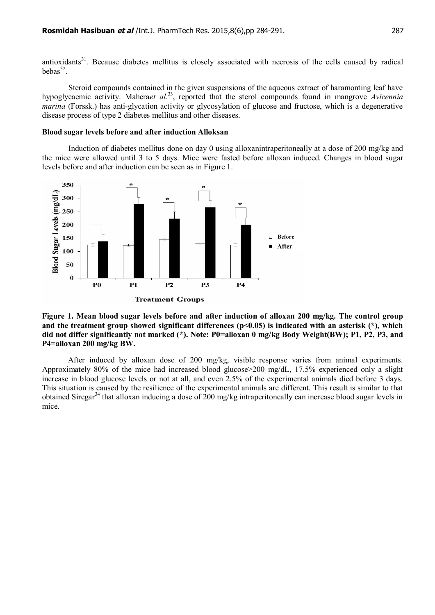antioxidants<sup>31</sup>. Because diabetes mellitus is closely associated with necrosis of the cells caused by radical  $bebas<sup>32</sup>$ .

Steroid compounds contained in the given suspensions of the aqueous extract of haramonting leaf have hypoglycaemic activity. Mahera*et al.*<sup>33</sup>, reported that the sterol compounds found in mangrove *Avicennia marina* (Forssk.) has anti-glycation activity or glycosylation of glucose and fructose, which is a degenerative disease process of type 2 diabetes mellitus and other diseases.

## **Blood sugar levels before and after induction Alloksan**

Induction of diabetes mellitus done on day 0 using alloxanintraperitoneally at a dose of 200 mg/kg and the mice were allowed until 3 to 5 days. Mice were fasted before alloxan induced. Changes in blood sugar levels before and after induction can be seen as in Figure 1.



## **Figure 1. Mean blood sugar levels before and after induction of alloxan 200 mg/kg. The control group and the treatment group showed significant differences (p<0.05) is indicated with an asterisk (\*), which did not differ significantly not marked (\*). Note: P0=alloxan 0 mg/kg Body Weight(BW); P1, P2, P3, and P4=alloxan 200 mg/kg BW.**

After induced by alloxan dose of 200 mg/kg, visible response varies from animal experiments. Approximately 80% of the mice had increased blood glucose>200 mg/dL, 17.5% experienced only a slight increase in blood glucose levels or not at all, and even 2.5% of the experimental animals died before 3 days. This situation is caused by the resilience of the experimental animals are different. This result is similar to that obtained Siregar<sup>34</sup> that alloxan inducing a dose of 200 mg/kg intraperitoneally can increase blood sugar levels in mice.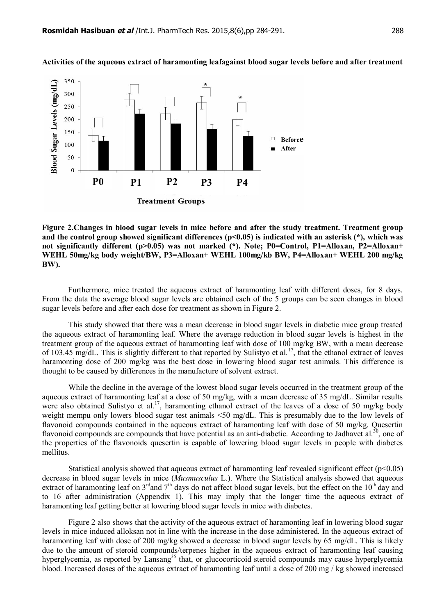

**Activities of the aqueous extract of haramonting leafagainst blood sugar levels before and after treatment**

**Figure 2.Changes in blood sugar levels in mice before and after the study treatment. Treatment group and the control group showed significant differences (p<0.05) is indicated with an asterisk (\*), which was not significantly different (p>0.05) was not marked (\*). Note; P0=Control, P1=Alloxan, P2=Alloxan+ WEHL 50mg/kg body weight/BW, P3=Alloxan+ WEHL 100mg/kb BW, P4=Alloxan+ WEHL 200 mg/kg BW).**

Furthermore, mice treated the aqueous extract of haramonting leaf with different doses, for 8 days. From the data the average blood sugar levels are obtained each of the 5 groups can be seen changes in blood sugar levels before and after each dose for treatment as shown in Figure 2.

This study showed that there was a mean decrease in blood sugar levels in diabetic mice group treated the aqueous extract of haramonting leaf. Where the average reduction in blood sugar levels is highest in the treatment group of the aqueous extract of haramonting leaf with dose of 100 mg/kg BW, with a mean decrease of 103.45 mg/dL. This is slightly different to that reported by Sulistyo et al.<sup>17</sup>, that the ethanol extract of leaves haramonting dose of 200 mg/kg was the best dose in lowering blood sugar test animals. This difference is thought to be caused by differences in the manufacture of solvent extract.

While the decline in the average of the lowest blood sugar levels occurred in the treatment group of the aqueous extract of haramonting leaf at a dose of 50 mg/kg, with a mean decrease of 35 mg/dL. Similar results were also obtained Sulistyo et al.<sup>17</sup>, haramonting ethanol extract of the leaves of a dose of 50 mg/kg body weight mempu only lowers blood sugar test animals <50 mg/dL. This is presumably due to the low levels of flavonoid compounds contained in the aqueous extract of haramonting leaf with dose of 50 mg/kg. Quesertin flavonoid compounds are compounds that have potential as an anti-diabetic. According to Jadhavet al.<sup>30</sup>, one of the properties of the flavonoids quesertin is capable of lowering blood sugar levels in people with diabetes mellitus.

Statistical analysis showed that aqueous extract of haramonting leaf revealed significant effect ( $p<0.05$ ) decrease in blood sugar levels in mice (*Musmusculus* L.). Where the Statistical analysis showed that aqueous extract of haramonting leaf on  $3^{\text{rd}}$  and  $7^{\text{th}}$  days do not affect blood sugar levels, but the effect on the  $10^{\text{th}}$  day and to 16 after administration (Appendix 1). This may imply that the longer time the aqueous extract of haramonting leaf getting better at lowering blood sugar levels in mice with diabetes.

Figure 2 also shows that the activity of the aqueous extract of haramonting leaf in lowering blood sugar levels in mice induced alloksan not in line with the increase in the dose administered. In the aqueous extract of haramonting leaf with dose of 200 mg/kg showed a decrease in blood sugar levels by 65 mg/dL. This is likely due to the amount of steroid compounds/terpenes higher in the aqueous extract of haramonting leaf causing hyperglycemia, as reported by Lansang<sup>35</sup> that, or glucocorticoid steroid compounds may cause hyperglycemia blood. Increased doses of the aqueous extract of haramonting leaf until a dose of 200 mg / kg showed increased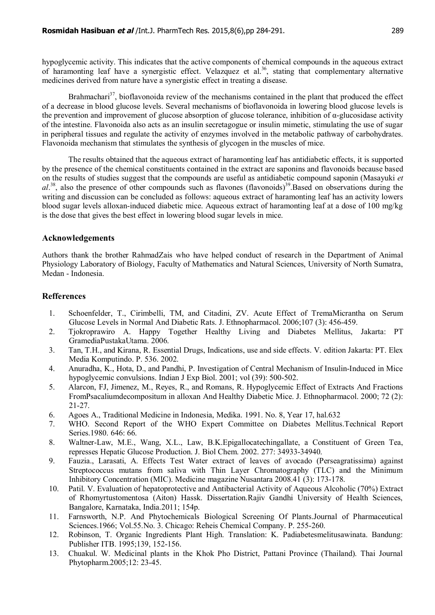hypoglycemic activity. This indicates that the active components of chemical compounds in the aqueous extract of haramonting leaf have a synergistic effect. Velazquez et al.<sup>36</sup>, stating that complementary alternative medicines derived from nature have a synergistic effect in treating a disease.

Brahmachari<sup>37</sup>, bioflavonoida review of the mechanisms contained in the plant that produced the effect of a decrease in blood glucose levels. Several mechanisms of bioflavonoida in lowering blood glucose levels is the prevention and improvement of glucose absorption of glucose tolerance, inhibition of α-glucosidase activity of the intestine. Flavonoida also acts as an insulin secretagogue or insulin mimetic, stimulating the use of sugar in peripheral tissues and regulate the activity of enzymes involved in the metabolic pathway of carbohydrates. Flavonoida mechanism that stimulates the synthesis of glycogen in the muscles of mice.

The results obtained that the aqueous extract of haramonting leaf has antidiabetic effects, it is supported by the presence of the chemical constituents contained in the extract are saponins and flavonoids because based on the results of studies suggest that the compounds are useful as antidiabetic compound saponin (Masayuki *et* al.<sup>38</sup>, also the presence of other compounds such as flavones (flavonoids)<sup>39</sup>.Based on observations during the writing and discussion can be concluded as follows: aqueous extract of haramonting leaf has an activity lowers blood sugar levels alloxan-induced diabetic mice. Aqueous extract of haramonting leaf at a dose of 100 mg/kg is the dose that gives the best effect in lowering blood sugar levels in mice.

## **Acknowledgements**

Authors thank the brother RahmadZais who have helped conduct of research in the Department of Animal Physiology Laboratory of Biology, Faculty of Mathematics and Natural Sciences, University of North Sumatra, Medan - Indonesia.

## **Refferences**

- 1. Schoenfelder, T., Cirimbelli, TM, and Citadini, ZV. Acute Effect of TremaMicrantha on Serum Glucose Levels in Normal And Diabetic Rats. J. Ethnopharmacol. 2006;107 (3): 456-459.
- 2. Tjokroprawiro A. Happy Together Healthy Living and Diabetes Mellitus, Jakarta: PT GramediaPustakaUtama. 2006.
- 3. Tan, T.H., and Kirana, R. Essential Drugs, Indications, use and side effects. V. edition Jakarta: PT. Elex Media Komputindo. P. 536. 2002.
- 4. Anuradha, K., Hota, D., and Pandhi, P. Investigation of Central Mechanism of Insulin-Induced in Mice hypoglycemic convulsions. Indian J Exp Biol. 2001; vol (39): 500-502.
- 5. Alarcon, FJ, Jimenez, M., Reyes, R., and Romans, R. Hypoglycemic Effect of Extracts And Fractions FromPsacaliumdecompositum in alloxan And Healthy Diabetic Mice. J. Ethnopharmacol. 2000; 72 (2): 21-27.
- 6. Agoes A., Traditional Medicine in Indonesia, Medika. 1991. No. 8, Year 17, hal.632
- 7. WHO. Second Report of the WHO Expert Committee on Diabetes Mellitus.Technical Report Series.1980. 646: 66.
- 8. Waltner-Law, M.E., Wang, X.L., Law, B.K.Epigallocatechingallate, a Constituent of Green Tea, represses Hepatic Glucose Production. J. Biol Chem. 2002. 277: 34933-34940.
- 9. Fauzia., Larasati, A. Effects Test Water extract of leaves of avocado (Perseagratissima) against Streptococcus mutans from saliva with Thin Layer Chromatography (TLC) and the Minimum Inhibitory Concentration (MIC). Medicine magazine Nusantara 2008.41 (3): 173-178.
- 10. Patil. V. Evaluation of hepatoprotective and Antibacterial Activity of Aqueous Alcoholic (70%) Extract of Rhomyrtustomentosa (Aiton) Hassk. Dissertation.Rajiv Gandhi University of Health Sciences, Bangalore, Karnataka, India.2011; 154p.
- 11. Farnsworth, N.P. And Phytochemicals Biological Screening Of Plants.Journal of Pharmaceutical Sciences.1966; Vol.55.No. 3. Chicago: Reheis Chemical Company. P. 255-260.
- 12. Robinson, T. Organic Ingredients Plant High. Translation: K. Padiabetesmelitusawinata. Bandung: Publisher ITB. 1995;139, 152-156.
- 13. Chuakul. W. Medicinal plants in the Khok Pho District, Pattani Province (Thailand). Thai Journal Phytopharm.2005;12: 23-45.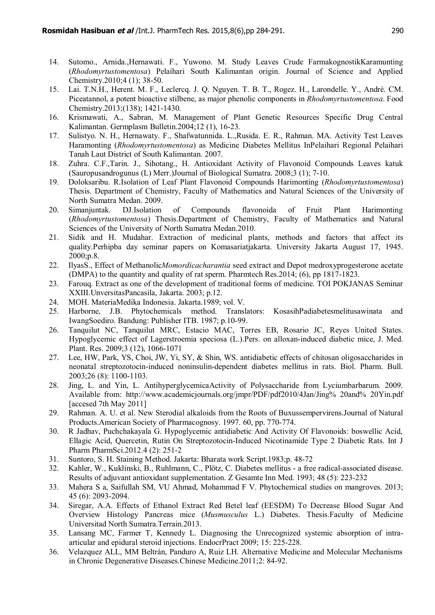- 14. Sutomo., Arnida.,Hernawati. F., Yuwono. M. Study Leaves Crude FarmakognostikKaramunting (*Rhodomyrtustomentosa*) Pelaihari South Kalimantan origin. Journal of Science and Applied Chemistry.2010;4 (1); 38-50.
- 15. Lai. T.N.H., Herent. M. F., Leclercq. J. Q. Nguyen. T. B. T., Rogez. H., Larondelle. Y., André. CM. Piceatannol, a potent bioactive stilbene, as major phenolic components in *Rhodomyrtustomentosa*. Food Chemistry.2013;(138); 1421-1430.
- 16. Krismawati, A., Sabran, M. Management of Plant Genetic Resources Specific Drug Central Kalimantan. Germplasm Bulletin.2004;12 (1), 16-23.
- 17. Sulistyo. N. H., Hernawaty. F., Shafwatunnida. L.,Rusida. E. R., Rahman. MA. Activity Test Leaves Haramonting (*Rhodomyrtustomentosa*) as Medicine Diabetes Mellitus InPelaihari Regional Pelaihari Tanah Laut District of South Kalimantan. 2007.
- 18. Zuhra. C.F.,Tarin. J., Sihotang., H. Antioxidant Activity of Flavonoid Compounds Leaves katuk (Sauropusandrogunus (L) Merr.)Journal of Biological Sumatra. 2008;3 (1); 7-10.
- 19. Doloksaribu. R.Isolation of Leaf Plant Flavonoid Compounds Harimonting (*Rhodomyrtustomentosa*) Thesis. Department of Chemistry, Faculty of Mathematics and Natural Sciences of the University of North Sumatra Medan. 2009.
- 20. Simanjuntak. DJ.Isolation of Compounds flavonoida of Fruit Plant Harimonting (*Rhodomyrtustomentosa*) Thesis.Department of Chemistry, Faculty of Mathematics and Natural Sciences of the University of North Sumatra Medan.2010.
- 21. Sidik and H. Mudahar. Extraction of medicinal plants, methods and factors that affect its quality.Perhipba day seminar papers on Komasariatjakarta. University Jakarta August 17, 1945. 2000;p.8.
- 22. IlyasS., Effect of Methanolic*Momordicacharantia* seed extract and Depot medroxyprogesterone acetate (DMPA) to the quantity and quality of rat sperm. Pharmtech Res.2014; (6), pp 1817-1823.
- 23. Farouq. Extract as one of the development of traditional forms of medicine. TOI POKJANAS Seminar XXIII.UnversitasPancasila, Jakarta. 2003; p.12.
- 24. MOH. MateriaMedika Indonesia. Jakarta.1989; vol. V.
- 25. Harborne, J.B. Phytochemicals method. Translators: KosasihPadiabetesmelitusawinata and IwangSoediro. Bandung: Publisher ITB. 1987; p.10-99.
- 26. Tanquilut NC, Tanquilut MRC, Estacio MAC, Torres EB, Rosario JC, Reyes United States. Hypoglycemic effect of Lagerstroemia speciosa (L.).Pers. on alloxan-induced diabetic mice, J. Med. Plant. Res. 2009;3 (12), 1066-1071
- 27. Lee, HW, Park, YS, Choi, JW, Yi, SY, & Shin, WS. antidiabetic effects of chitosan oligosaccharides in neonatal streptozotocin-induced noninsulin-dependent diabetes mellitus in rats. Biol. Pharm. Bull. 2003;26 (8): 1100-1103.
- 28. Jing, L. and Yin, L. AntihyperglycemicaActivity of Polysaccharide from Lyciumbarbarum. 2009. Available from: [http://www.academicjournals.org/jmpr/PDF/pdf2010/4](http://www.academicjournals.org/jmpr/PDF/pdf2010/)Jan/Jing% 20and% 20Yin.pdf [accesed 7th May 2011]
- 29. Rahman. A. U. et al. New Sterodial alkaloids from the Roots of Buxussempervirens.Journal of Natural Products.American Society of Pharmacognosy. 1997. 60, pp. 770-774.
- 30. R Jadhav, Puchchakayala G. Hypoglycemic antidiabetic And Activity Of Flavonoids: boswellic Acid, Ellagic Acid, Quercetin, Rutin On Streptozotocin-Induced Nicotinamide Type 2 Diabetic Rats. Int J Pharm PharmSci.2012.4 (2): 251-2
- 31. Suntoro, S. H. Staining Method. Jakarta: Bharata work Script.1983;p. 48-72
- 32. Kahler, W., Kuklinski, B., Ruhlmann, C., Plötz, C. Diabetes mellitus a free radical-associated disease. Results of adjuvant antioxidant supplementation. Z Gesamte Inn Med. 1993; 48 (5): 223-232
- 33. Mahera S a, Saifullah SM, VU Ahmad, Mohammad F V. Phytochemical studies on mangroves. 2013; 45 (6): 2093-2094.
- 34. Siregar, A.A. Effects of Ethanol Extract Red Betel leaf (EESDM) To Decrease Blood Sugar And Overview Histology Pancreas mice (*Musmusculus* L.) Diabetes. Thesis.Faculty of Medicine Universitad North Sumatra.Terrain.2013.
- 35. Lansang MC, Farmer T, Kennedy L. Diagnosing the Unrecognized systemic absorption of intraarticular and epidural steroid injections. EndocrPract 2009; 15: 225-228.
- 36. Velazquez ALL, MM Beltrán, Panduro A, Ruiz LH. Alternative Medicine and Molecular Mechanisms in Chronic Degenerative Diseases.Chinese Medicine.2011;2: 84-92.